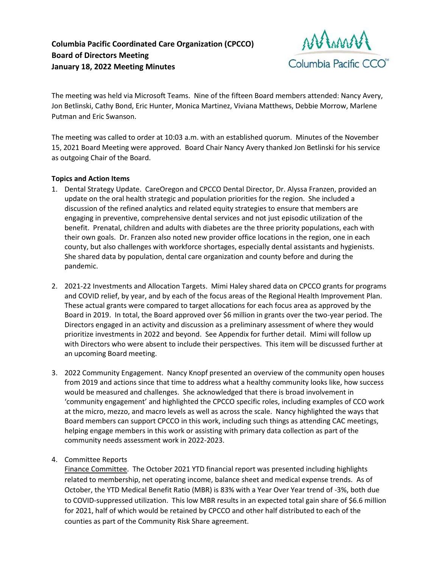

The meeting was held via Microsoft Teams. Nine of the fifteen Board members attended: Nancy Avery, Jon Betlinski, Cathy Bond, Eric Hunter, Monica Martinez, Viviana Matthews, Debbie Morrow, Marlene Putman and Eric Swanson.

The meeting was called to order at 10:03 a.m. with an established quorum. Minutes of the November 15, 2021 Board Meeting were approved. Board Chair Nancy Avery thanked Jon Betlinski for his service as outgoing Chair of the Board.

# **Topics and Action Items**

- 1. Dental Strategy Update. CareOregon and CPCCO Dental Director, Dr. Alyssa Franzen, provided an update on the oral health strategic and population priorities for the region. She included a discussion of the refined analytics and related equity strategies to ensure that members are engaging in preventive, comprehensive dental services and not just episodic utilization of the benefit. Prenatal, children and adults with diabetes are the three priority populations, each with their own goals. Dr. Franzen also noted new provider office locations in the region, one in each county, but also challenges with workforce shortages, especially dental assistants and hygienists. She shared data by population, dental care organization and county before and during the pandemic.
- 2. 2021-22 Investments and Allocation Targets. Mimi Haley shared data on CPCCO grants for programs and COVID relief, by year, and by each of the focus areas of the Regional Health Improvement Plan. These actual grants were compared to target allocations for each focus area as approved by the Board in 2019. In total, the Board approved over \$6 million in grants over the two-year period. The Directors engaged in an activity and discussion as a preliminary assessment of where they would prioritize investments in 2022 and beyond. See Appendix for further detail. Mimi will follow up with Directors who were absent to include their perspectives. This item will be discussed further at an upcoming Board meeting.
- 3. 2022 Community Engagement. Nancy Knopf presented an overview of the community open houses from 2019 and actions since that time to address what a healthy community looks like, how success would be measured and challenges. She acknowledged that there is broad involvement in 'community engagement' and highlighted the CPCCO specific roles, including examples of CCO work at the micro, mezzo, and macro levels as well as across the scale. Nancy highlighted the ways that Board members can support CPCCO in this work, including such things as attending CAC meetings, helping engage members in this work or assisting with primary data collection as part of the community needs assessment work in 2022-2023.
- 4. Committee Reports

Finance Committee. The October 2021 YTD financial report was presented including highlights related to membership, net operating income, balance sheet and medical expense trends. As of October, the YTD Medical Benefit Ratio (MBR) is 83% with a Year Over Year trend of -3%, both due to COVID-suppressed utilization. This low MBR results in an expected total gain share of \$6.6 million for 2021, half of which would be retained by CPCCO and other half distributed to each of the counties as part of the Community Risk Share agreement.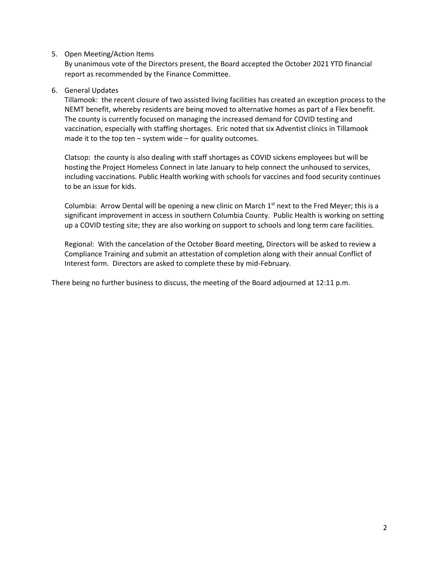## 5. Open Meeting/Action Items

By unanimous vote of the Directors present, the Board accepted the October 2021 YTD financial report as recommended by the Finance Committee.

## 6. General Updates

Tillamook: the recent closure of two assisted living facilities has created an exception process to the NEMT benefit, whereby residents are being moved to alternative homes as part of a Flex benefit. The county is currently focused on managing the increased demand for COVID testing and vaccination, especially with staffing shortages. Eric noted that six Adventist clinics in Tillamook made it to the top ten – system wide – for quality outcomes.

Clatsop: the county is also dealing with staff shortages as COVID sickens employees but will be hosting the Project Homeless Connect in late January to help connect the unhoused to services, including vaccinations. Public Health working with schools for vaccines and food security continues to be an issue for kids.

Columbia: Arrow Dental will be opening a new clinic on March  $1<sup>st</sup>$  next to the Fred Meyer; this is a significant improvement in access in southern Columbia County. Public Health is working on setting up a COVID testing site; they are also working on support to schools and long term care facilities.

Regional: With the cancelation of the October Board meeting, Directors will be asked to review a Compliance Training and submit an attestation of completion along with their annual Conflict of Interest form. Directors are asked to complete these by mid-February.

There being no further business to discuss, the meeting of the Board adjourned at 12:11 p.m.